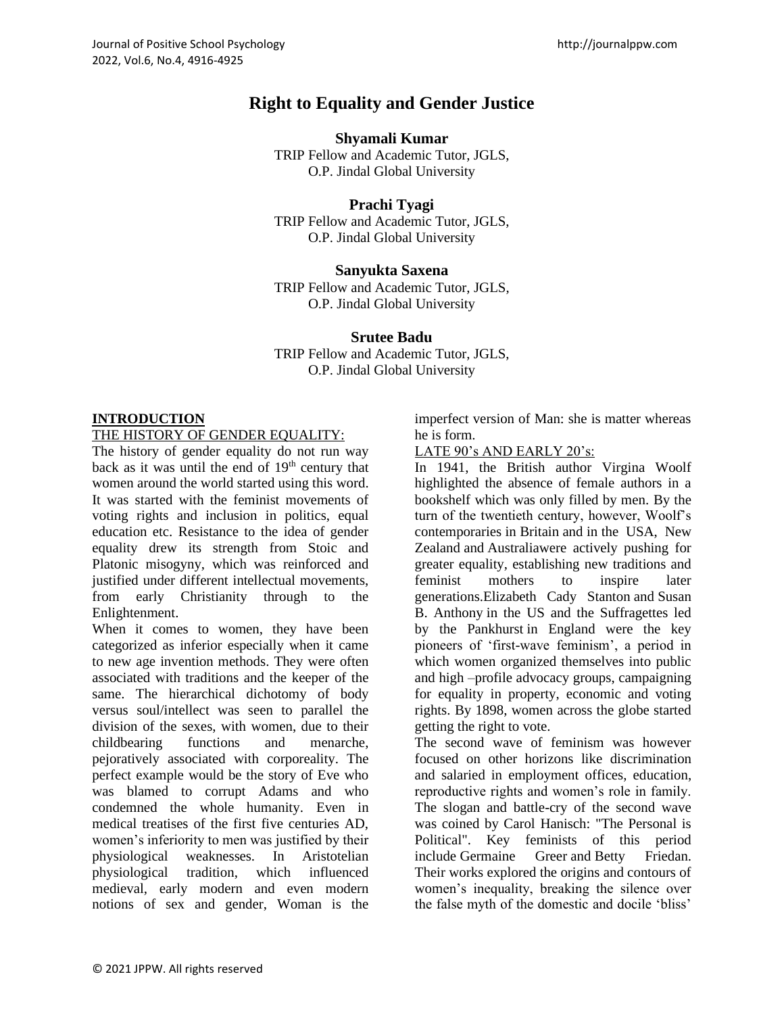# **Right to Equality and Gender Justice**

#### **Shyamali Kumar**

TRIP Fellow and Academic Tutor, JGLS, O.P. Jindal Global University

## **Prachi Tyagi**

TRIP Fellow and Academic Tutor, JGLS, O.P. Jindal Global University

#### **Sanyukta Saxena**

TRIP Fellow and Academic Tutor, JGLS, O.P. Jindal Global University

#### **Srutee Badu**

TRIP Fellow and Academic Tutor, JGLS, O.P. Jindal Global University

## **INTRODUCTION**

#### THE HISTORY OF GENDER EQUALITY:

The history of gender equality do not run way back as it was until the end of  $19<sup>th</sup>$  century that women around the world started using this word. It was started with the feminist movements of voting rights and inclusion in politics, equal education etc. Resistance to the idea of gender equality drew its strength from Stoic and Platonic misogyny, which was reinforced and justified under different intellectual movements, from early Christianity through to the Enlightenment.

When it comes to women, they have been categorized as inferior especially when it came to new age invention methods. They were often associated with traditions and the keeper of the same. The hierarchical dichotomy of body versus soul/intellect was seen to parallel the division of the sexes, with women, due to their childbearing functions and menarche, pejoratively associated with corporeality. The perfect example would be the story of Eve who was blamed to corrupt Adams and who condemned the whole humanity. Even in medical treatises of the first five centuries AD, women's inferiority to men was justified by their physiological weaknesses. In Aristotelian physiological tradition, which influenced medieval, early modern and even modern notions of sex and gender, Woman is the

imperfect version of Man: she is matter whereas he is form.

#### LATE 90's AND EARLY 20's:

In 1941, the British author Virgina Woolf highlighted the absence of female authors in a bookshelf which was only filled by men. By the turn of the twentieth century, however, Woolf's contemporaries in Britain and in the USA, [New](http://www.wikigender.org/index.php/New_Zealand)  [Zealand](http://www.wikigender.org/index.php/New_Zealand) and [Australiaw](http://www.wikigender.org/index.php/Australia)ere actively pushing for greater equality, establishing new traditions and feminist mothers to inspire later generations[.Elizabeth Cady Stanton](http://www.wikigender.org/index.php/Elizabeth_Cady_Stanton) and [Susan](http://www.wikigender.org/index.php/Susan_B._Anthony)  [B. Anthony](http://www.wikigender.org/index.php/Susan_B._Anthony) in the US and the Suffragettes led by the [Pankhurst](http://www.wikigender.org/index.php/Emmeline_Pankhurst) in England were the key pioneers of 'first-wave feminism', a period in which women organized themselves into public and high –profile advocacy groups, campaigning for equality in property, economic and voting rights. By 1898, women across the globe started getting the right to vote.

The second wave of feminism was however focused on other horizons like discrimination and salaried in employment offices, education, reproductive rights and women's role in family. The slogan and battle-cry of the second wave was coined by Carol Hanisch: "The Personal is Political". Key feminists of this period include [Germaine Greer](http://www.wikigender.org/index.php/Germaine_Greer) and [Betty Friedan.](http://www.wikigender.org/index.php/Betty_Friedan) Their works explored the origins and contours of women's inequality, breaking the silence over the false myth of the domestic and docile 'bliss'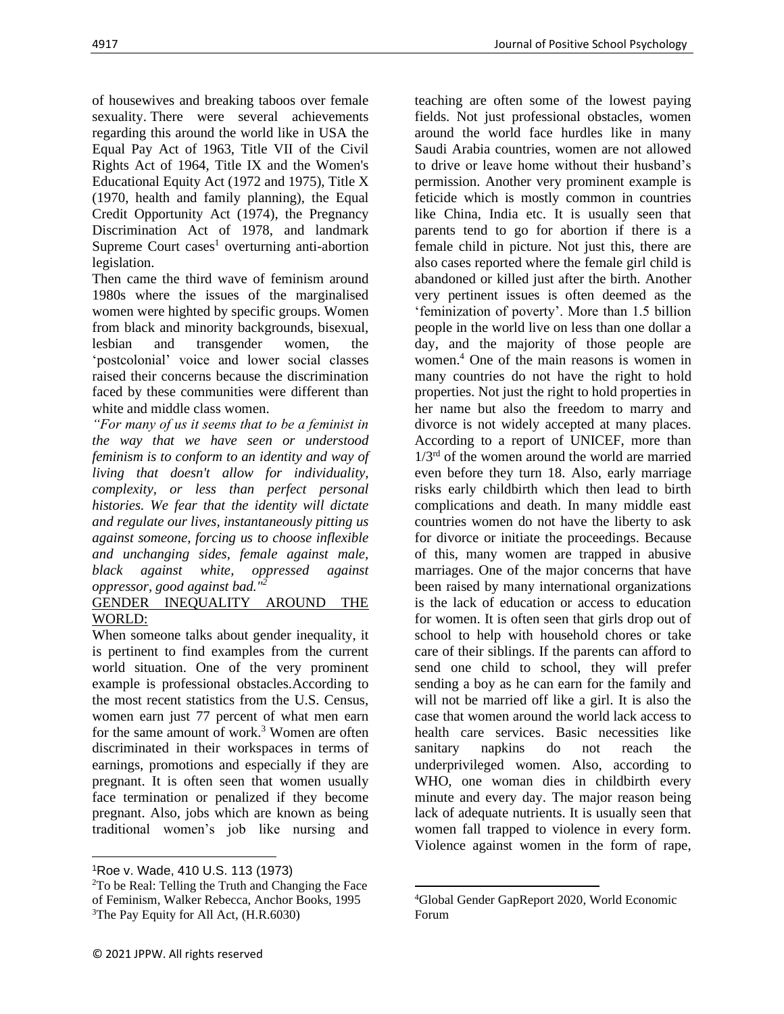of housewives and breaking taboos over female sexuality. There were several achievements regarding this around the world like in USA the Equal Pay Act of 1963, Title VII of the Civil Rights Act of 1964, Title IX and the Women's Educational Equity Act (1972 and 1975), Title X (1970, health and family planning), the Equal Credit Opportunity Act (1974), the Pregnancy Discrimination Act of 1978, and landmark Supreme Court cases<sup>1</sup> overturning anti-abortion legislation.

Then came the third wave of feminism around 1980s where the issues of the marginalised women were highted by specific groups. Women from black and minority backgrounds, bisexual, lesbian and transgender women, the 'postcolonial' voice and lower social classes raised their concerns because the discrimination faced by these communities were different than white and middle class women.

*"For many of us it seems that to be a feminist in the way that we have seen or understood feminism is to conform to an identity and way of living that doesn't allow for individuality, complexity, or less than perfect personal histories. We fear that the identity will dictate and regulate our lives, instantaneously pitting us against someone, forcing us to choose inflexible and unchanging sides, female against male, black against white, oppressed against oppressor, good against bad."<sup>2</sup>*

## GENDER INEQUALITY AROUND THE WORLD:

When someone talks about gender inequality, it is pertinent to find examples from the current world situation. One of the very prominent example is professional obstacles.According to the most recent statistics from the U.S. Census, women earn just 77 percent of what men earn for the same amount of work. $3$  Women are often discriminated in their workspaces in terms of earnings, promotions and especially if they are pregnant. It is often seen that women usually face termination or penalized if they become pregnant. Also, jobs which are known as being traditional women's job like nursing and

teaching are often some of the lowest paying fields. Not just professional obstacles, women around the world face hurdles like in many Saudi Arabia countries, women are not allowed to drive or leave home without their husband's permission. Another very prominent example is feticide which is mostly common in countries like China, India etc. It is usually seen that parents tend to go for abortion if there is a female child in picture. Not just this, there are also cases reported where the female girl child is abandoned or killed just after the birth. Another very pertinent issues is often deemed as the 'feminization of poverty'. More than 1.5 billion people in the world live on less than one dollar a day, and the majority of those people are women.<sup>4</sup> One of the main reasons is women in many countries do not have the right to hold properties. Not just the right to hold properties in her name but also the freedom to marry and divorce is not widely accepted at many places. According to a report of UNICEF, more than 1/3rd of the women around the world are married even before they turn 18. Also, early marriage risks early childbirth which then lead to birth complications and death. In many middle east countries women do not have the liberty to ask for divorce or initiate the proceedings. Because of this, many women are trapped in abusive marriages. One of the major concerns that have been raised by many international organizations is the lack of education or access to education for women. It is often seen that girls drop out of school to help with household chores or take care of their siblings. If the parents can afford to send one child to school, they will prefer sending a boy as he can earn for the family and will not be married off like a girl. It is also the case that women around the world lack access to health care services. Basic necessities like sanitary napkins do not reach the underprivileged women. Also, according to WHO, one woman dies in childbirth every minute and every day. The major reason being lack of adequate nutrients. It is usually seen that women fall trapped to violence in every form. Violence against women in the form of rape,

<sup>1</sup>Roe v. Wade, 410 U.S. 113 (1973)

<sup>2</sup>To be Real: Telling the Truth and Changing the Face of Feminism, Walker Rebecca, Anchor Books, 1995 <sup>3</sup>The Pay Equity for All Act, (H.R.6030)

<sup>4</sup>Global Gender GapReport 2020, World Economic Forum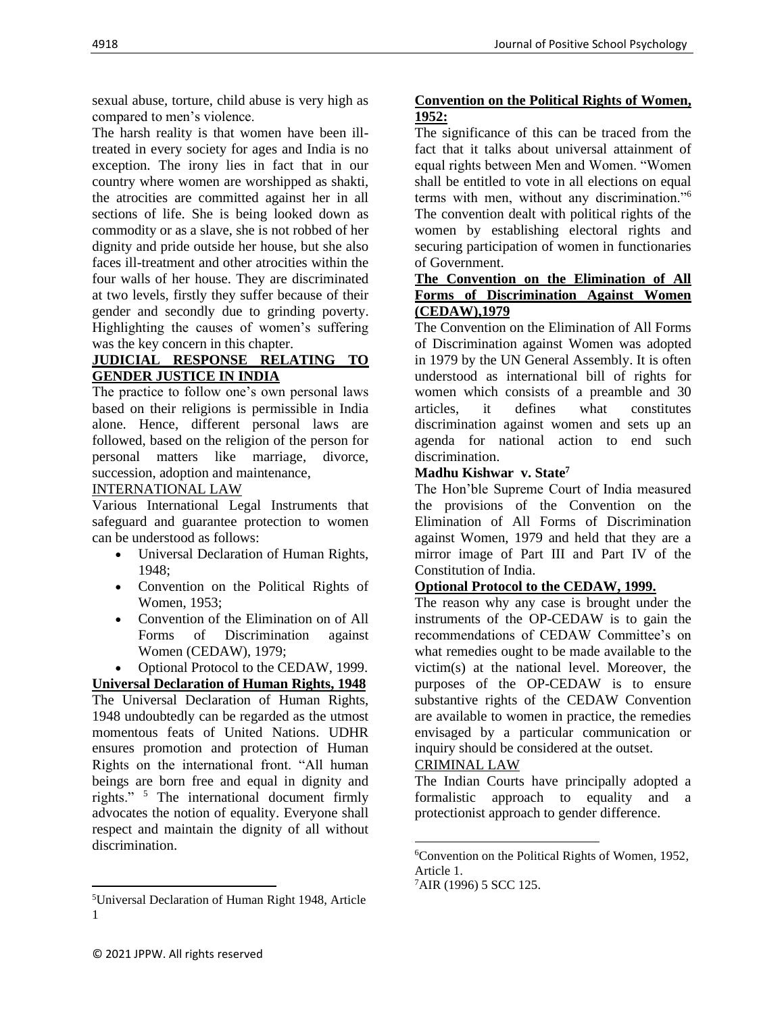sexual abuse, torture, child abuse is very high as compared to men's violence.

The harsh reality is that women have been illtreated in every society for ages and India is no exception. The irony lies in fact that in our country where women are worshipped as shakti, the atrocities are committed against her in all sections of life. She is being looked down as commodity or as a slave, she is not robbed of her dignity and pride outside her house, but she also faces ill-treatment and other atrocities within the four walls of her house. They are discriminated at two levels, firstly they suffer because of their gender and secondly due to grinding poverty. Highlighting the causes of women's suffering was the key concern in this chapter.

#### **JUDICIAL RESPONSE RELATING TO GENDER JUSTICE IN INDIA**

The practice to follow one's own personal laws based on their religions is permissible in India alone. Hence, different personal laws are followed, based on the religion of the person for personal matters like marriage, divorce, succession, adoption and maintenance,

#### INTERNATIONAL LAW

Various International Legal Instruments that safeguard and guarantee protection to women can be understood as follows:

- Universal Declaration of Human Rights, 1948;
- Convention on the Political Rights of Women, 1953;
- Convention of the Elimination on of All Forms of Discrimination against Women (CEDAW), 1979;
- Optional Protocol to the CEDAW, 1999.

**Universal Declaration of Human Rights, 1948** The Universal Declaration of Human Rights, 1948 undoubtedly can be regarded as the utmost momentous feats of United Nations. UDHR ensures promotion and protection of Human Rights on the international front. "All human beings are born free and equal in dignity and rights." <sup>5</sup> The international document firmly advocates the notion of equality. Everyone shall respect and maintain the dignity of all without discrimination.

#### **Convention on the Political Rights of Women, 1952:**

The significance of this can be traced from the fact that it talks about universal attainment of equal rights between Men and Women. "Women shall be entitled to vote in all elections on equal terms with men, without any discrimination."<sup>6</sup> The convention dealt with political rights of the women by establishing electoral rights and securing participation of women in functionaries of Government.

#### **The Convention on the Elimination of All Forms of Discrimination Against Women (CEDAW),1979**

The Convention on the Elimination of All Forms of Discrimination against Women was adopted in 1979 by the UN General Assembly. It is often understood as international bill of rights for women which consists of a preamble and 30 articles, it defines what constitutes discrimination against women and sets up an agenda for national action to end such discrimination.

#### **Madhu Kishwar v. State<sup>7</sup>**

The Hon'ble Supreme Court of India measured the provisions of the Convention on the Elimination of All Forms of Discrimination against Women, 1979 and held that they are a mirror image of Part III and Part IV of the Constitution of India.

#### **Optional Protocol to the CEDAW, 1999.**

The reason why any case is brought under the instruments of the OP-CEDAW is to gain the recommendations of CEDAW Committee's on what remedies ought to be made available to the victim(s) at the national level. Moreover, the purposes of the OP-CEDAW is to ensure substantive rights of the CEDAW Convention are available to women in practice, the remedies envisaged by a particular communication or inquiry should be considered at the outset.

#### CRIMINAL LAW

The Indian Courts have principally adopted a formalistic approach to equality and a protectionist approach to gender difference.

<sup>5</sup>Universal Declaration of Human Right 1948, Article 1

<sup>6</sup>Convention on the Political Rights of Women, 1952, Article 1.

 $7$ AIR (1996) 5 SCC 125.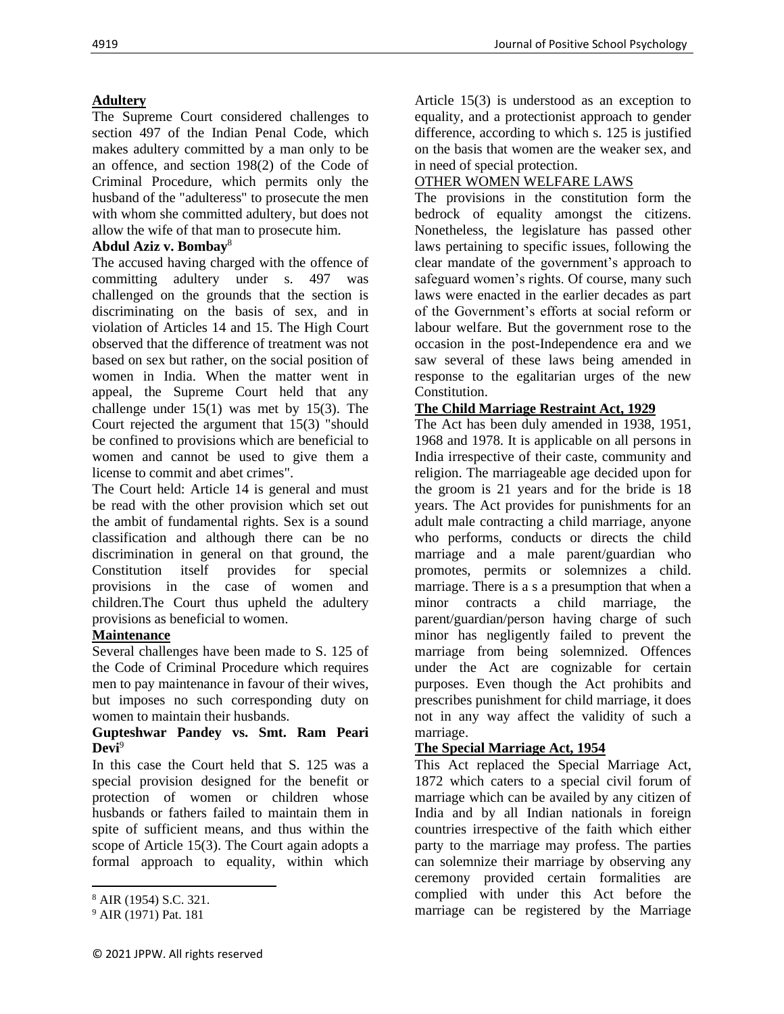## **Adultery**

The Supreme Court considered challenges to section 497 of the Indian Penal Code, which makes adultery committed by a man only to be an offence, and section 198(2) of the Code of Criminal Procedure, which permits only the husband of the "adulteress" to prosecute the men with whom she committed adultery, but does not allow the wife of that man to prosecute him.

### **Abdul Aziz v. Bombay**<sup>8</sup>

The accused having charged with the offence of committing adultery under s. 497 was challenged on the grounds that the section is discriminating on the basis of sex, and in violation of Articles 14 and 15. The High Court observed that the difference of treatment was not based on sex but rather, on the social position of women in India. When the matter went in appeal, the Supreme Court held that any challenge under 15(1) was met by 15(3). The Court rejected the argument that 15(3) "should be confined to provisions which are beneficial to women and cannot be used to give them a license to commit and abet crimes".

The Court held: Article 14 is general and must be read with the other provision which set out the ambit of fundamental rights. Sex is a sound classification and although there can be no discrimination in general on that ground, the Constitution itself provides for special provisions in the case of women and children.The Court thus upheld the adultery provisions as beneficial to women.

## **Maintenance**

Several challenges have been made to S. 125 of the Code of Criminal Procedure which requires men to pay maintenance in favour of their wives, but imposes no such corresponding duty on women to maintain their husbands.

#### **Gupteshwar Pandey vs. Smt. Ram Peari Devi**<sup>9</sup>

In this case the Court held that S. 125 was a special provision designed for the benefit or protection of women or children whose husbands or fathers failed to maintain them in spite of sufficient means, and thus within the scope of Article 15(3). The Court again adopts a formal approach to equality, within which

Article 15(3) is understood as an exception to equality, and a protectionist approach to gender difference, according to which s. 125 is justified on the basis that women are the weaker sex, and in need of special protection.

### OTHER WOMEN WELFARE LAWS

The provisions in the constitution form the bedrock of equality amongst the citizens. Nonetheless, the legislature has passed other laws pertaining to specific issues, following the clear mandate of the government's approach to safeguard women's rights. Of course, many such laws were enacted in the earlier decades as part of the Government's efforts at social reform or labour welfare. But the government rose to the occasion in the post-Independence era and we saw several of these laws being amended in response to the egalitarian urges of the new Constitution.

## **The Child Marriage Restraint Act, 1929**

The Act has been duly amended in 1938, 1951, 1968 and 1978. It is applicable on all persons in India irrespective of their caste, community and religion. The marriageable age decided upon for the groom is 21 years and for the bride is 18 years. The Act provides for punishments for an adult male contracting a child marriage, anyone who performs, conducts or directs the child marriage and a male parent/guardian who promotes, permits or solemnizes a child. marriage. There is a s a presumption that when a minor contracts a child marriage, the parent/guardian/person having charge of such minor has negligently failed to prevent the marriage from being solemnized. Offences under the Act are cognizable for certain purposes. Even though the Act prohibits and prescribes punishment for child marriage, it does not in any way affect the validity of such a marriage.

## **The Special Marriage Act, 1954**

This Act replaced the Special Marriage Act, 1872 which caters to a special civil forum of marriage which can be availed by any citizen of India and by all Indian nationals in foreign countries irrespective of the faith which either party to the marriage may profess. The parties can solemnize their marriage by observing any ceremony provided certain formalities are complied with under this Act before the marriage can be registered by the Marriage

<sup>8</sup> AIR (1954) S.C. 321.

<sup>9</sup> AIR (1971) Pat. 181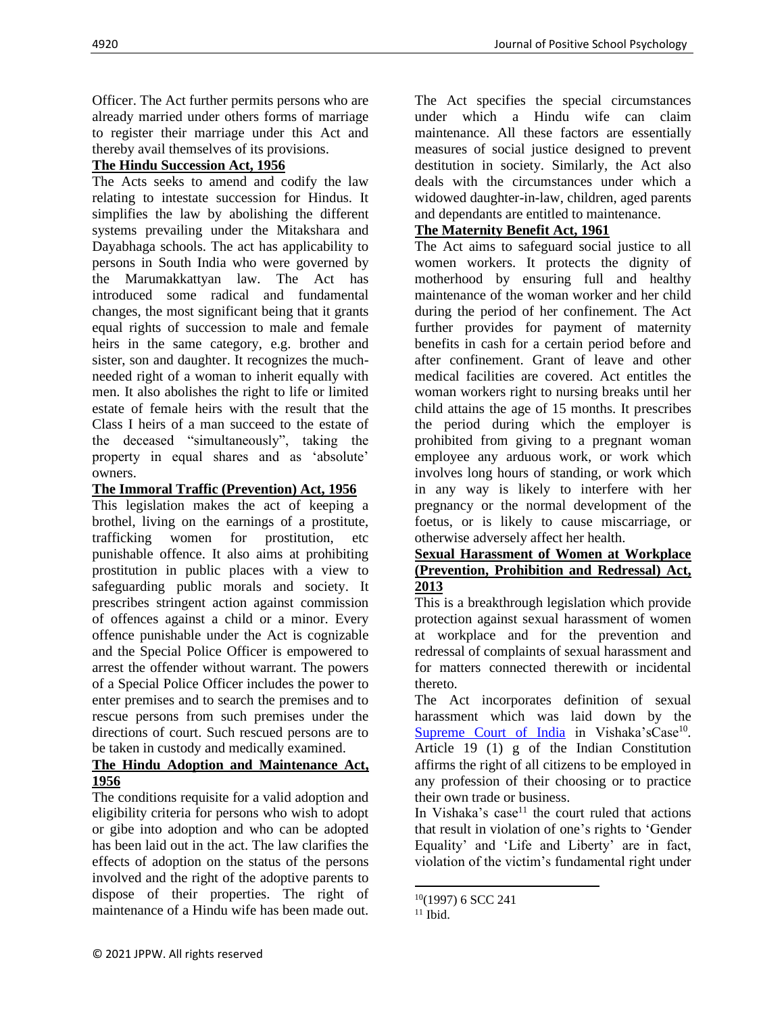Officer. The Act further permits persons who are already married under others forms of marriage to register their marriage under this Act and thereby avail themselves of its provisions.

## **The Hindu Succession Act, 1956**

The Acts seeks to amend and codify the law relating to intestate succession for Hindus. It simplifies the law by abolishing the different systems prevailing under the Mitakshara and Dayabhaga schools. The act has applicability to persons in South India who were governed by the Marumakkattyan law. The Act has introduced some radical and fundamental changes, the most significant being that it grants equal rights of succession to male and female heirs in the same category, e.g. brother and sister, son and daughter. It recognizes the muchneeded right of a woman to inherit equally with men. It also abolishes the right to life or limited estate of female heirs with the result that the Class I heirs of a man succeed to the estate of the deceased "simultaneously", taking the property in equal shares and as 'absolute' owners.

## **The Immoral Traffic (Prevention) Act, 1956**

This legislation makes the act of keeping a brothel, living on the earnings of a prostitute, trafficking women for prostitution, etc punishable offence. It also aims at prohibiting prostitution in public places with a view to safeguarding public morals and society. It prescribes stringent action against commission of offences against a child or a minor. Every offence punishable under the Act is cognizable and the Special Police Officer is empowered to arrest the offender without warrant. The powers of a Special Police Officer includes the power to enter premises and to search the premises and to rescue persons from such premises under the directions of court. Such rescued persons are to be taken in custody and medically examined.

## **The Hindu Adoption and Maintenance Act, 1956**

The conditions requisite for a valid adoption and eligibility criteria for persons who wish to adopt or gibe into adoption and who can be adopted has been laid out in the act. The law clarifies the effects of adoption on the status of the persons involved and the right of the adoptive parents to dispose of their properties. The right of maintenance of a Hindu wife has been made out.

The Act specifies the special circumstances under which a Hindu wife can claim maintenance. All these factors are essentially measures of social justice designed to prevent destitution in society. Similarly, the Act also deals with the circumstances under which a widowed daughter-in-law, children, aged parents and dependants are entitled to maintenance.

## **The Maternity Benefit Act, 1961**

The Act aims to safeguard social justice to all women workers. It protects the dignity of motherhood by ensuring full and healthy maintenance of the woman worker and her child during the period of her confinement. The Act further provides for payment of maternity benefits in cash for a certain period before and after confinement. Grant of leave and other medical facilities are covered. Act entitles the woman workers right to nursing breaks until her child attains the age of 15 months. It prescribes the period during which the employer is prohibited from giving to a pregnant woman employee any arduous work, or work which involves long hours of standing, or work which in any way is likely to interfere with her pregnancy or the normal development of the foetus, or is likely to cause miscarriage, or otherwise adversely affect her health.

#### **Sexual Harassment of Women at Workplace (Prevention, Prohibition and Redressal) Act, 2013**

This is a breakthrough legislation which provide protection against sexual harassment of women at workplace and for the prevention and redressal of complaints of sexual harassment and for matters connected therewith or incidental thereto.

The Act incorporates definition of sexual harassment which was laid down by the [Supreme Court of India](http://en.wikipedia.org/wiki/Supreme_Court_of_India) in Vishaka'sCase<sup>10</sup>. Article 19 (1) g of the Indian Constitution affirms the right of all citizens to be employed in any profession of their choosing or to practice their own trade or business.

In Vishaka's case<sup>11</sup> the court ruled that actions that result in violation of one's rights to 'Gender Equality' and 'Life and Liberty' are in fact, violation of the victim's fundamental right under

 $10(1997)$  6 SCC 241

 $11$  Ibid.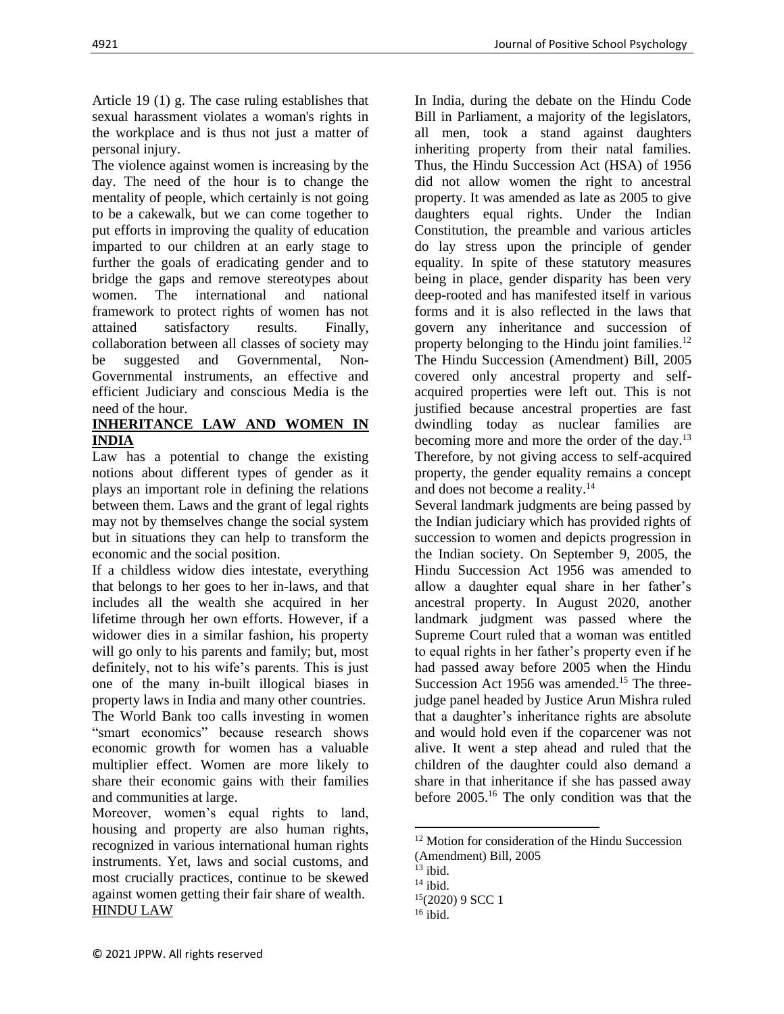Article 19 (1) g. The case ruling establishes that sexual harassment violates a woman's rights in the workplace and is thus not just a matter of personal injury.

The violence against women is increasing by the day. The need of the hour is to change the mentality of people, which certainly is not going to be a cakewalk, but we can come together to put efforts in improving the quality of education imparted to our children at an early stage to further the goals of eradicating gender and to bridge the gaps and remove stereotypes about women. The international and national framework to protect rights of women has not attained satisfactory results. Finally, collaboration between all classes of society may be suggested and Governmental, Non-Governmental instruments, an effective and efficient Judiciary and conscious Media is the need of the hour.

## **INHERITANCE LAW AND WOMEN IN INDIA**

Law has a potential to change the existing notions about different types of gender as it plays an important role in defining the relations between them. Laws and the grant of legal rights may not by themselves change the social system but in situations they can help to transform the economic and the social position.

If a childless widow dies intestate, everything that belongs to her goes to her in-laws, and that includes all the wealth she acquired in her lifetime through her own efforts. However, if a widower dies in a similar fashion, his property will go only to his parents and family; but, most definitely, not to his wife's parents. This is just one of the many in-built illogical biases in property laws in India and many other countries.

The World Bank too calls investing in women "smart economics" because research shows economic growth for women has a valuable multiplier effect. Women are more likely to share their economic gains with their families and communities at large.

Moreover, women's equal rights to land, housing and property are also human rights, recognized in various international human rights instruments. Yet, laws and social customs, and most crucially practices, continue to be skewed against women getting their fair share of wealth. HINDU LAW

In India, during the debate on the Hindu Code Bill in Parliament, a majority of the legislators, all men, took a stand against daughters inheriting property from their natal families. Thus, the Hindu Succession Act (HSA) of 1956 did not allow women the right to ancestral property. It was amended as late as 2005 to give daughters equal rights. Under the Indian Constitution, the preamble and various articles do lay stress upon the principle of gender equality. In spite of these statutory measures being in place, gender disparity has been very deep-rooted and has manifested itself in various forms and it is also reflected in the laws that govern any inheritance and succession of property belonging to the Hindu joint families.<sup>12</sup> The Hindu Succession (Amendment) Bill, 2005 covered only ancestral property and selfacquired properties were left out. This is not justified because ancestral properties are fast dwindling today as nuclear families are becoming more and more the order of the day.<sup>13</sup> Therefore, by not giving access to self-acquired property, the gender equality remains a concept and does not become a reality.<sup>14</sup>

Several landmark judgments are being passed by the Indian judiciary which has provided rights of succession to women and depicts progression in the Indian society. On September 9, 2005, the Hindu Succession Act 1956 was amended to allow a daughter equal share in her father's ancestral property. In August 2020, another landmark judgment was passed where the Supreme Court ruled that a woman was entitled to equal rights in her father's property even if he had passed away before 2005 when the Hindu Succession Act 1956 was amended.<sup>15</sup> The threejudge panel headed by Justice Arun Mishra ruled that a daughter's inheritance rights are absolute and would hold even if the coparcener was not alive. It went a step ahead and ruled that the children of the daughter could also demand a share in that inheritance if she has passed away before 2005.<sup>16</sup> The only condition was that the

<sup>&</sup>lt;sup>12</sup> Motion for consideration of the Hindu Succession (Amendment) Bill, 2005

 $13$  ibid.

 $14$  ibid.

 $15(2020)$  9 SCC 1

 $16$  ibid.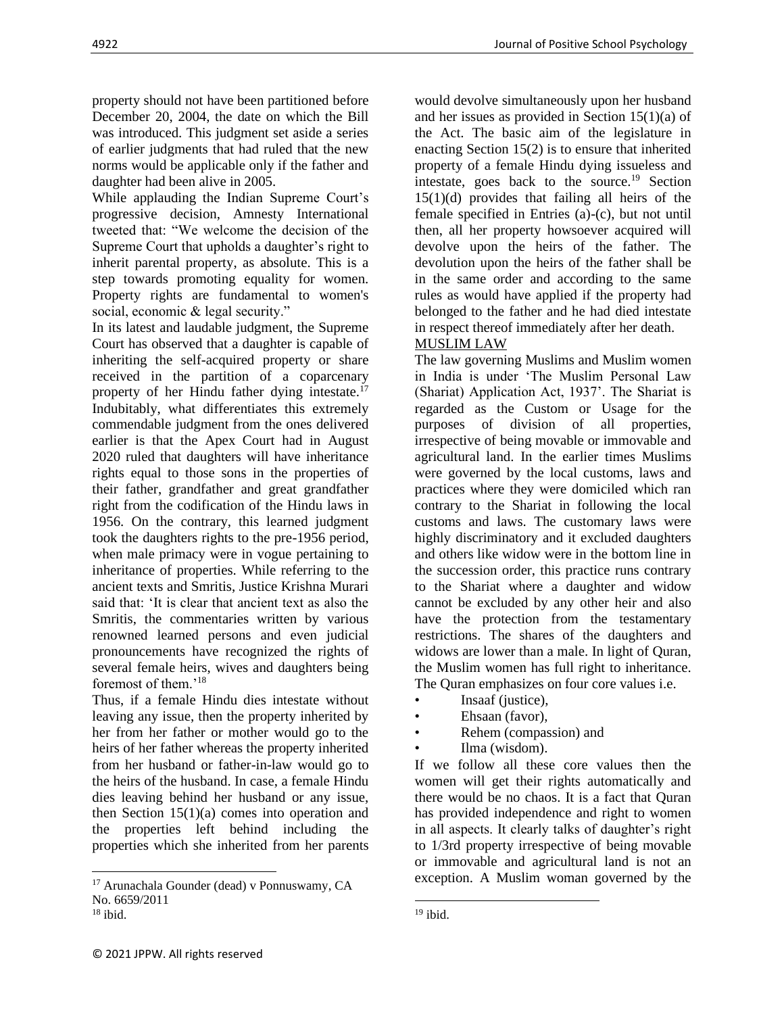4922 Journal of Positive School Psychology

property should not have been partitioned before December 20, 2004, the date on which the Bill was introduced. This judgment set aside a series of earlier judgments that had ruled that the new norms would be applicable only if the father and daughter had been alive in 2005.

While applauding the Indian Supreme Court's progressive decision, Amnesty International tweeted that: "We welcome the decision of the Supreme Court that upholds a daughter's right to inherit parental property, as absolute. This is a step towards promoting equality for women. Property rights are fundamental to women's social, economic & legal security."

In its latest and laudable judgment, the Supreme Court has observed that a daughter is capable of inheriting the self-acquired property or share received in the partition of a coparcenary property of her Hindu father dying intestate.<sup>17</sup> Indubitably, what differentiates this extremely commendable judgment from the ones delivered earlier is that the Apex Court had in August 2020 ruled that daughters will have inheritance rights equal to those sons in the properties of their father, grandfather and great grandfather right from the codification of the Hindu laws in 1956. On the contrary, this learned judgment took the daughters rights to the pre-1956 period, when male primacy were in vogue pertaining to inheritance of properties. While referring to the ancient texts and Smritis, Justice Krishna Murari said that: 'It is clear that ancient text as also the Smritis, the commentaries written by various renowned learned persons and even judicial pronouncements have recognized the rights of several female heirs, wives and daughters being foremost of them.'<sup>18</sup>

Thus, if a female Hindu dies intestate without leaving any issue, then the property inherited by her from her father or mother would go to the heirs of her father whereas the property inherited from her husband or father-in-law would go to the heirs of the husband. In case, a female Hindu dies leaving behind her husband or any issue, then Section 15(1)(a) comes into operation and the properties left behind including the properties which she inherited from her parents

would devolve simultaneously upon her husband and her issues as provided in Section  $15(1)(a)$  of the Act. The basic aim of the legislature in enacting Section 15(2) is to ensure that inherited property of a female Hindu dying issueless and intestate, goes back to the source.<sup>19</sup> Section 15(1)(d) provides that failing all heirs of the female specified in Entries (a)-(c), but not until then, all her property howsoever acquired will devolve upon the heirs of the father. The devolution upon the heirs of the father shall be in the same order and according to the same rules as would have applied if the property had belonged to the father and he had died intestate in respect thereof immediately after her death.

#### MUSLIM LAW

The law governing Muslims and Muslim women in India is under 'The Muslim Personal Law (Shariat) Application Act, 1937'. The Shariat is regarded as the Custom or Usage for the purposes of division of all properties, irrespective of being movable or immovable and agricultural land. In the earlier times Muslims were governed by the local customs, laws and practices where they were domiciled which ran contrary to the Shariat in following the local customs and laws. The customary laws were highly discriminatory and it excluded daughters and others like widow were in the bottom line in the succession order, this practice runs contrary to the Shariat where a daughter and widow cannot be excluded by any other heir and also have the protection from the testamentary restrictions. The shares of the daughters and widows are lower than a male. In light of Quran, the Muslim women has full right to inheritance. The Quran emphasizes on four core values i.e.

- Insaaf (justice),
- Ehsaan (favor),
- Rehem (compassion) and
- Ilma (wisdom).

If we follow all these core values then the women will get their rights automatically and there would be no chaos. It is a fact that Quran has provided independence and right to women in all aspects. It clearly talks of daughter's right to 1/3rd property irrespective of being movable or immovable and agricultural land is not an exception. A Muslim woman governed by the

<sup>17</sup> Arunachala Gounder (dead) v Ponnuswamy, CA No. 6659/2011

 $18$  ibid.

 $19$  ibid.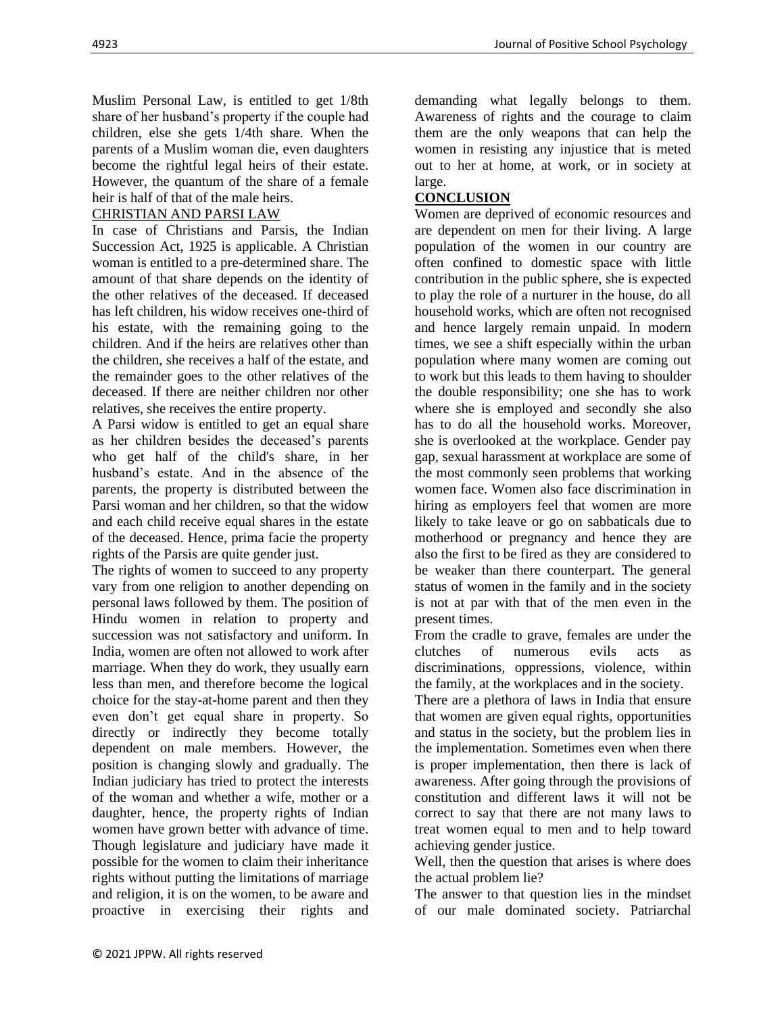Muslim Personal Law, is entitled to get 1/8th share of her husband's property if the couple had children, else she gets 1/4th share. When the parents of a Muslim woman die, even daughters become the rightful legal heirs of their estate. However, the quantum of the share of a female heir is half of that of the male heirs.

## CHRISTIAN AND PARSI LAW

In case of Christians and Parsis, the Indian Succession Act, 1925 is applicable. A Christian woman is entitled to a pre-determined share. The amount of that share depends on the identity of the other relatives of the deceased. If deceased has left children, his widow receives one-third of his estate, with the remaining going to the children. And if the heirs are relatives other than the children, she receives a half of the estate, and the remainder goes to the other relatives of the deceased. If there are neither children nor other relatives, she receives the entire property.

A Parsi widow is entitled to get an equal share as her children besides the deceased's parents who get half of the child's share, in her husband's estate. And in the absence of the parents, the property is distributed between the Parsi woman and her children, so that the widow and each child receive equal shares in the estate of the deceased. Hence, prima facie the property rights of the Parsis are quite gender just.

The rights of women to succeed to any property vary from one religion to another depending on personal laws followed by them. The position of Hindu women in relation to property and succession was not satisfactory and uniform. In India, women are often not allowed to work after marriage. When they do work, they usually earn less than men, and therefore become the logical choice for the stay-at-home parent and then they even don't get equal share in property. So directly or indirectly they become totally dependent on male members. However, the position is changing slowly and gradually. The Indian judiciary has tried to protect the interests of the woman and whether a wife, mother or a daughter, hence, the property rights of Indian women have grown better with advance of time. Though legislature and judiciary have made it possible for the women to claim their inheritance rights without putting the limitations of marriage and religion, it is on the women, to be aware and proactive in exercising their rights and

demanding what legally belongs to them. Awareness of rights and the courage to claim them are the only weapons that can help the women in resisting any injustice that is meted out to her at home, at work, or in society at large.

# **CONCLUSION**

Women are deprived of economic resources and are dependent on men for their living. A large population of the women in our country are often confined to domestic space with little contribution in the public sphere, she is expected to play the role of a nurturer in the house, do all household works, which are often not recognised and hence largely remain unpaid. In modern times, we see a shift especially within the urban population where many women are coming out to work but this leads to them having to shoulder the double responsibility; one she has to work where she is employed and secondly she also has to do all the household works. Moreover, she is overlooked at the workplace. Gender pay gap, sexual harassment at workplace are some of the most commonly seen problems that working women face. Women also face discrimination in hiring as employers feel that women are more likely to take leave or go on sabbaticals due to motherhood or pregnancy and hence they are also the first to be fired as they are considered to be weaker than there counterpart. The general status of women in the family and in the society is not at par with that of the men even in the present times.

From the cradle to grave, females are under the clutches of numerous evils acts as discriminations, oppressions, violence, within the family, at the workplaces and in the society.

There are a plethora of laws in India that ensure that women are given equal rights, opportunities and status in the society, but the problem lies in the implementation. Sometimes even when there is proper implementation, then there is lack of awareness. After going through the provisions of constitution and different laws it will not be correct to say that there are not many laws to treat women equal to men and to help toward achieving gender justice.

Well, then the question that arises is where does the actual problem lie?

The answer to that question lies in the mindset of our male dominated society. Patriarchal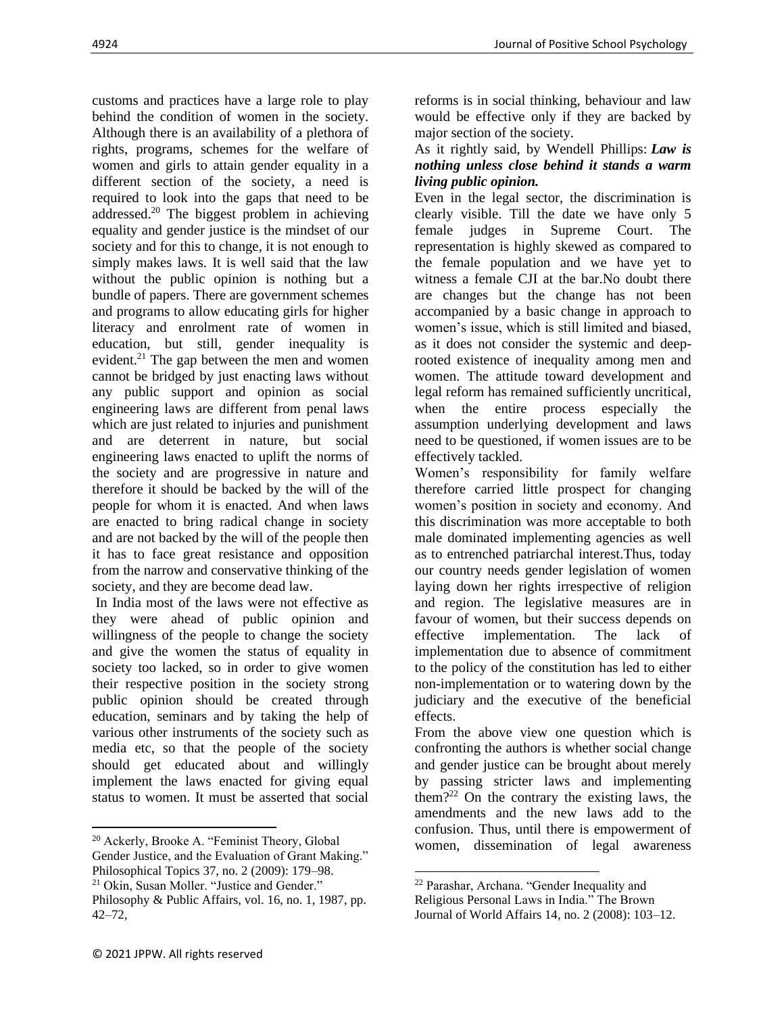customs and practices have a large role to play behind the condition of women in the society. Although there is an availability of a plethora of rights, programs, schemes for the welfare of women and girls to attain gender equality in a different section of the society, a need is required to look into the gaps that need to be addressed.<sup>20</sup> The biggest problem in achieving equality and gender justice is the mindset of our society and for this to change, it is not enough to simply makes laws. It is well said that the law without the public opinion is nothing but a bundle of papers. There are government schemes and programs to allow educating girls for higher literacy and enrolment rate of women in education, but still, gender inequality is evident.<sup>21</sup> The gap between the men and women cannot be bridged by just enacting laws without any public support and opinion as social engineering laws are different from penal laws which are just related to injuries and punishment and are deterrent in nature, but social engineering laws enacted to uplift the norms of the society and are progressive in nature and therefore it should be backed by the will of the people for whom it is enacted. And when laws are enacted to bring radical change in society and are not backed by the will of the people then it has to face great resistance and opposition from the narrow and conservative thinking of the society, and they are become dead law.

In India most of the laws were not effective as they were ahead of public opinion and willingness of the people to change the society and give the women the status of equality in society too lacked, so in order to give women their respective position in the society strong public opinion should be created through education, seminars and by taking the help of various other instruments of the society such as media etc, so that the people of the society should get educated about and willingly implement the laws enacted for giving equal status to women. It must be asserted that social

reforms is in social thinking, behaviour and law would be effective only if they are backed by major section of the society.

#### As it rightly said, by Wendell Phillips: *Law is nothing unless close behind it stands a warm living public opinion.*

Even in the legal sector, the discrimination is clearly visible. Till the date we have only 5 female judges in Supreme Court. The representation is highly skewed as compared to the female population and we have yet to witness a female CJI at the bar.No doubt there are changes but the change has not been accompanied by a basic change in approach to women's issue, which is still limited and biased, as it does not consider the systemic and deeprooted existence of inequality among men and women. The attitude toward development and legal reform has remained sufficiently uncritical, when the entire process especially the assumption underlying development and laws need to be questioned, if women issues are to be effectively tackled.

Women's responsibility for family welfare therefore carried little prospect for changing women's position in society and economy. And this discrimination was more acceptable to both male dominated implementing agencies as well as to entrenched patriarchal interest.Thus, today our country needs gender legislation of women laying down her rights irrespective of religion and region. The legislative measures are in favour of women, but their success depends on effective implementation. The lack of implementation due to absence of commitment to the policy of the constitution has led to either non-implementation or to watering down by the judiciary and the executive of the beneficial effects.

From the above view one question which is confronting the authors is whether social change and gender justice can be brought about merely by passing stricter laws and implementing them?<sup>22</sup> On the contrary the existing laws, the amendments and the new laws add to the confusion. Thus, until there is empowerment of women, dissemination of legal awareness

<sup>20</sup> Ackerly, Brooke A. "Feminist Theory, Global Gender Justice, and the Evaluation of Grant Making." Philosophical Topics 37, no. 2 (2009): 179–98.

<sup>21</sup> Okin, Susan Moller. "Justice and Gender."

Philosophy & Public Affairs, vol. 16, no. 1, 1987, pp. 42–72,

<sup>22</sup> Parashar, Archana. "Gender Inequality and

Religious Personal Laws in India." The Brown Journal of World Affairs 14, no. 2 (2008): 103–12.